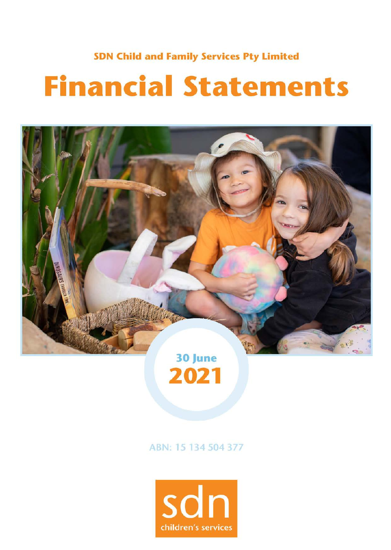### **SDN Child and Family Services Pty Limited**

# **Financial Statements**





ABN: 15 134 504 377

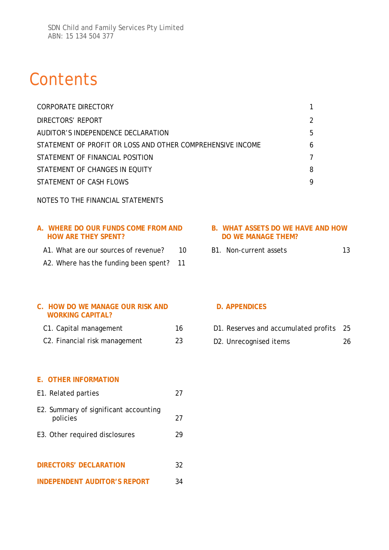# **Contents**

| CORPORATE DIRECTORY                                        |               |
|------------------------------------------------------------|---------------|
| DIRECTORS' REPORT                                          | $\mathcal{P}$ |
| AUDITOR'S INDEPENDENCE DECLARATION                         | 5             |
| STATEMENT OF PROFIT OR LOSS AND OTHER COMPREHENSIVE INCOME | 6             |
| STATEMENT OF FINANCIAL POSITION                            | 7             |
| STATEMENT OF CHANGES IN EQUITY                             | 8             |
| STATEMENT OF CASH FLOWS                                    | 9             |

NOTES TO THE FINANCIAL STATEMENTS

### **A. WHERE DO OUR FUNDS COME FROM AND HOW ARE THEY SPENT?**

- A1. What are our sources of revenue? 10
- A2. Where has the funding been spent? 11

### **B. WHAT ASSETS DO WE HAVE AND HOW DO WE MANAGE THEM?**

B1. Non-current assets 13

### **C. HOW DO WE MANAGE OUR RISK AND WORKING CAPITAL?**

C1. Capital management 16 C2. Financial risk management 23

### **D. APPENDICES**

| D1. Reserves and accumulated profits 25 |  |  |
|-----------------------------------------|--|--|
|                                         |  |  |

D2. Unrecognised items 26

### **E. OTHER INFORMATION**

- E1. Related parties 27 E2. Summary of significant accounting policies 27 E3. Other required disclosures 29 **DIRECTORS' DECLARATION** 32
- **INDEPENDENT AUDITOR'S REPORT** 34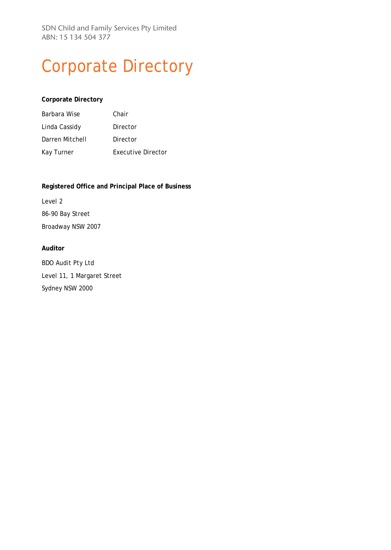SDN Child and Family Services Pty Limited ABN: 15 134 504 377

# Corporate Directory

#### **Corporate Directory**

| Barbara Wise    | Chair              |
|-----------------|--------------------|
| Linda Cassidy   | Director           |
| Darren Mitchell | Director           |
| Kay Turner      | Executive Director |

#### **Registered Office and Principal Place of Business**

Level 2 86-90 Bay Street Broadway NSW 2007

#### **Auditor**

BDO Audit Pty Ltd Level 11, 1 Margaret Street Sydney NSW 2000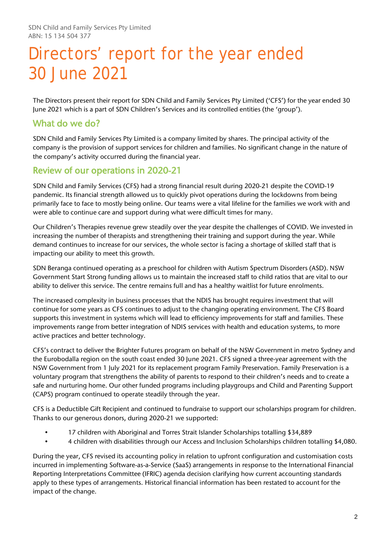# Directors' report for the year ended 30 June 2021

The Directors present their report for SDN Child and Family Services Pty Limited ('CFS') for the year ended 30 June 2021 which is a part of SDN Children's Services and its controlled entities (the 'group').

### What do we do?

SDN Child and Family Services Pty Limited is a company limited by shares. The principal activity of the company is the provision of support services for children and families. No significant change in the nature of the company's activity occurred during the financial year.

### Review of our operations in 2020-21

SDN Child and Family Services (CFS) had a strong financial result during 2020-21 despite the COVID-19 pandemic. Its financial strength allowed us to quickly pivot operations during the lockdowns from being primarily face to face to mostly being online. Our teams were a vital lifeline for the families we work with and were able to continue care and support during what were difficult times for many.

Our Children's Therapies revenue grew steadily over the year despite the challenges of COVID. We invested in increasing the number of therapists and strengthening their training and support during the year. While demand continues to increase for our services, the whole sector is facing a shortage of skilled staff that is impacting our ability to meet this growth.

SDN Beranga continued operating as a preschool for children with Autism Spectrum Disorders (ASD). NSW Government Start Strong funding allows us to maintain the increased staff to child ratios that are vital to our ability to deliver this service. The centre remains full and has a healthy waitlist for future enrolments.

The increased complexity in business processes that the NDIS has brought requires investment that will continue for some years as CFS continues to adjust to the changing operating environment. The CFS Board supports this investment in systems which will lead to efficiency improvements for staff and families. These improvements range from better integration of NDIS services with health and education systems, to more active practices and better technology.

CFS's contract to deliver the Brighter Futures program on behalf of the NSW Government in metro Sydney and the Eurobodalla region on the south coast ended 30 June 2021. CFS signed a three-year agreement with the NSW Government from 1 July 2021 for its replacement program Family Preservation. Family Preservation is a voluntary program that strengthens the ability of parents to respond to their children's needs and to create a safe and nurturing home. Our other funded programs including playgroups and Child and Parenting Support (CAPS) program continued to operate steadily through the year.

CFS is a Deductible Gift Recipient and continued to fundraise to support our scholarships program for children. Thanks to our generous donors, during 2020-21 we supported:

- 17 children with Aboriginal and Torres Strait Islander Scholarships totalling \$34,889
- 4 children with disabilities through our Access and Inclusion Scholarships children totalling \$4,080.

During the year, CFS revised its accounting policy in relation to upfront configuration and customisation costs incurred in implementing Software-as-a-Service (SaaS) arrangements in response to the International Financial Reporting Interpretations Committee (IFRIC) agenda decision clarifying how current accounting standards apply to these types of arrangements. Historical financial information has been restated to account for the impact of the change.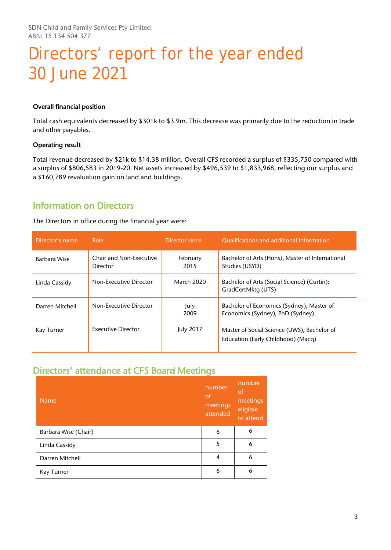# Directors' report for the year ended 30 June 2021

#### Overall financial position

Total cash equivalents decreased by \$301k to \$3.9m. This decrease was primarily due to the reduction in trade and other payables.

#### Operating result

Total revenue decreased by \$21k to \$14.38 million. Overall CFS recorded a surplus of \$335,750 compared with a surplus of \$806,583 in 2019-20. Net assets increased by \$496,539 to \$1,833,968, reflecting our surplus and a \$160,789 revaluation gain on land and buildings.

### Information on Directors

The Directors in office during the financial year were:

| Director's name | Role                                | Director since   | <b>Qualifications and additional Information</b>                                  |
|-----------------|-------------------------------------|------------------|-----------------------------------------------------------------------------------|
| Barbara Wise    | Chair and Non-Executive<br>Director | February<br>2015 | Bachelor of Arts (Hons), Master of International<br>Studies (USYD)                |
| Linda Cassidy   | Non-Executive Director              | March 2020       | Bachelor of Arts (Social Science) (Curtin);<br>GradCertMktg (UTS)                 |
| Darren Mitchell | Non-Executive Director              | July<br>2009     | Bachelor of Economics (Sydney), Master of<br>Economics (Sydney), PhD (Sydney)     |
| Kay Turner      | <b>Executive Director</b>           | July 2017        | Master of Social Science (UWS), Bachelor of<br>Education (Early Childhood) (Macq) |

### Directors' attendance at CFS Board Meetings

| <b>Name</b>          | number<br>of<br>meetings<br>attended | number<br>of<br>meetings<br>eligible<br>to attend |
|----------------------|--------------------------------------|---------------------------------------------------|
| Barbara Wise (Chair) | 6                                    | 6                                                 |
| Linda Cassidy        | 5                                    | 6                                                 |
| Darren Mitchell      | $\overline{4}$                       | 6                                                 |
| Kay Turner           | 6                                    | 6                                                 |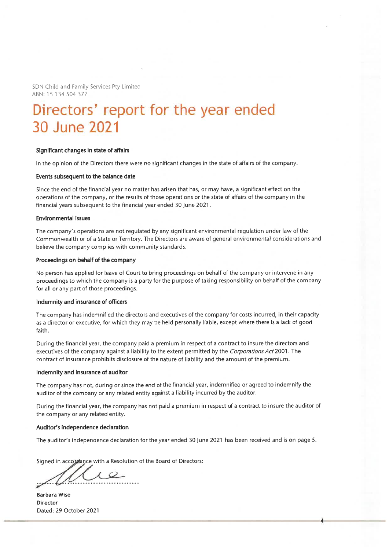SDN Child and Family Services Pty Limited ABN: 15 134 504 377

## Directors' report for the year ended 30 June 2021

#### Significant changes in state of affairs

In the opinion of the Directors there were no significant changes in the state of affairs of the company.

#### Events subsequent to the balance date

Since the end of the financial year no matter has arisen that has, or may have, a significant effect on the operations of the company, or the results of those operations or the state of affairs of the company in the financial years subsequent to the financial year ended 30 June 2021.

#### **Environmental issues**

The company's operations are not regulated by any significant environmental regulation under law of the Commonwealth or of a State or Territory. The Directors are aware of general environmental considerations and believe the company complies with community standards.

#### Proceedings on behalf of the company

No person has applied for leave of Court to bring proceedings on behalf of the company or intervene in any proceedings to which the company is a party for the purpose of taking responsibility on behalf of the company for all or any part of those proceedings.

#### Indemnity and insurance of officers

The company has indemnified the directors and executives of the company for costs incurred, in their capacity as a director or executive, for which they may be held personally liable, except where there is a lack of good faith.

During the financial year, the company paid a premium in respect of a contract to insure the directors and executives of the company against a liability to the extent permitted by the Corporations Act 2001. The contract of insurance prohibits disclosure of the nature of liability and the amount of the premium.

#### Indemnity and insurance of auditor

The company has not, during or since the end of the financial year, indemnified or agreed to indemnify the auditor of the company or any related entity against a liability incurred by the auditor.

During the financial year, the company has not paid a premium in respect of a contract to insure the auditor of the company or any related entity.

#### Auditor's independence declaration

The auditor's independence declaration for the year ended 30 June 2021 has been received and is on page 5.

Signed in accordance with a Resolution of the Board of Directors:

**Barbara Wise** Director Dated: 29 October 2021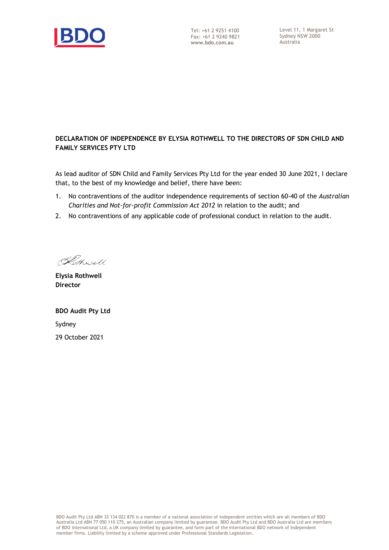

### **DECLARATION OF INDEPENDENCE BY ELYSIA ROTHWELL TO THE DIRECTORS OF SDN CHILD AND FAMILY SERVICES PTY LTD**

As lead auditor of SDN Child and Family Services Pty Ltd for the year ended 30 June 2021, I declare that, to the best of my knowledge and belief, there have been:

- 1. No contraventions of the auditor independence requirements of section 60-40 of the *Australian Charities and Not-for-profit Commission Act 2012* in relation to the audit; and
- 2. No contraventions of any applicable code of professional conduct in relation to the audit.

Kothwell

**Elysia Rothwell Director**

**BDO Audit Pty Ltd** Sydney 29 October 2021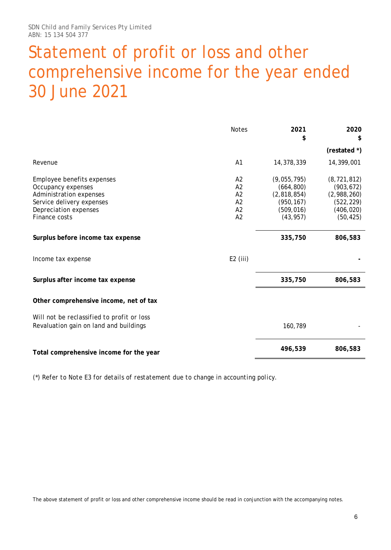# Statement of profit or loss and other comprehensive income for the year ended 30 June 2021

|                                                                                                                                                    | <b>Notes</b>                                 | 2021<br>\$                                                                        | 2020<br>S                                                                           |
|----------------------------------------------------------------------------------------------------------------------------------------------------|----------------------------------------------|-----------------------------------------------------------------------------------|-------------------------------------------------------------------------------------|
|                                                                                                                                                    |                                              |                                                                                   | (restated *)                                                                        |
| Revenue                                                                                                                                            | A1                                           | 14,378,339                                                                        | 14,399,001                                                                          |
| Employee benefits expenses<br>Occupancy expenses<br>Administration expenses<br>Service delivery expenses<br>Depreciation expenses<br>Finance costs | A2<br>A2<br>A <sub>2</sub><br>A2<br>A2<br>A2 | (9,055,795)<br>(664, 800)<br>(2,818,854)<br>(950, 167)<br>(509, 016)<br>(43, 957) | (8, 721, 812)<br>(903, 672)<br>(2,988,260)<br>(522, 229)<br>(406, 020)<br>(50, 425) |
| Surplus before income tax expense                                                                                                                  |                                              | 335,750                                                                           | 806,583                                                                             |
| Income tax expense                                                                                                                                 | $E2$ (iii)                                   |                                                                                   |                                                                                     |
| Surplus after income tax expense                                                                                                                   |                                              | 335,750                                                                           | 806,583                                                                             |
| Other comprehensive income, net of tax                                                                                                             |                                              |                                                                                   |                                                                                     |
| Will not be reclassified to profit or loss<br>Revaluation gain on land and buildings                                                               |                                              | 160,789                                                                           |                                                                                     |
| Total comprehensive income for the year                                                                                                            |                                              | 496,539                                                                           | 806,583                                                                             |

*(\*) Refer to Note E3 for details of restatement due to change in accounting policy.*

The above statement of profit or loss and other comprehensive income should be read in conjunction with the accompanying notes.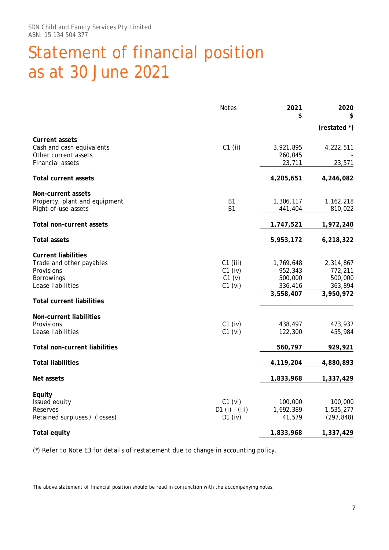# Statement of financial position as at 30 June 2021

|                                                                                                         | <b>Notes</b>                                   | 2021<br>\$                                              | 2020                                                    |
|---------------------------------------------------------------------------------------------------------|------------------------------------------------|---------------------------------------------------------|---------------------------------------------------------|
|                                                                                                         |                                                |                                                         | (restated *)                                            |
| <b>Current assets</b><br>Cash and cash equivalents<br>Other current assets                              | $C1$ (ii)                                      | 3,921,895<br>260,045                                    | 4,222,511                                               |
| <b>Financial assets</b>                                                                                 |                                                | 23,711                                                  | 23,571                                                  |
| <b>Total current assets</b>                                                                             |                                                | 4,205,651                                               | 4,246,082                                               |
| Non-current assets<br>Property, plant and equipment<br>Right-of-use-assets                              | <b>B1</b><br><b>B1</b>                         | 1,306,117<br>441,404                                    | 1,162,218<br>810,022                                    |
| <b>Total non-current assets</b>                                                                         |                                                | 1,747,521                                               | 1,972,240                                               |
| <b>Total assets</b>                                                                                     |                                                | 5,953,172                                               | 6,218,322                                               |
| <b>Current liabilities</b><br>Trade and other payables<br>Provisions<br>Borrowings<br>Lease liabilities | $C1$ (iii)<br>$C1$ (iv)<br>C1 (v)<br>$C1$ (vi) | 1,769,648<br>952,343<br>500,000<br>336,416<br>3,558,407 | 2,314,867<br>772,211<br>500,000<br>363,894<br>3,950,972 |
| <b>Total current liabilities</b>                                                                        |                                                |                                                         |                                                         |
| Non-current liabilities<br>Provisions<br>Lease liabilities                                              | $C1$ (iv)<br>$C1$ (vi)                         | 438,497<br>122,300                                      | 473,937<br>455,984                                      |
| <b>Total non-current liabilities</b>                                                                    |                                                | 560,797                                                 | 929,921                                                 |
| <b>Total liabilities</b>                                                                                |                                                | 4,119,204                                               | 4,880,893                                               |
| Net assets                                                                                              |                                                | 1,833,968                                               | 1,337,429                                               |
| Equity<br>Issued equity<br>Reserves<br>Retained surpluses / (losses)                                    | $C1$ (vi)<br>D1 (i) - (iii)<br>$D1$ (iv)       | 100,000<br>1,692,389<br>41,579                          | 100,000<br>1,535,277<br>(297, 848)                      |
| <b>Total equity</b>                                                                                     |                                                | 1,833,968                                               | 1,337,429                                               |

*(\*) Refer to Note E3 for details of restatement due to change in accounting policy.*

The above statement of financial position should be read in conjunction with the accompanying notes.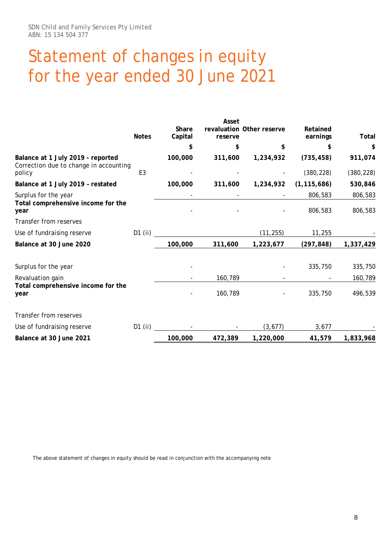# Statement of changes in equity for the year ended 30 June 2021

|                                                                             | <b>Notes</b>   | Share<br>Capital | Asset<br>reserve | revaluation Other reserve | Retained<br>earnings | Total      |
|-----------------------------------------------------------------------------|----------------|------------------|------------------|---------------------------|----------------------|------------|
|                                                                             |                | \$               | \$               | \$                        | \$                   | \$         |
| Balance at 1 July 2019 - reported<br>Correction due to change in accounting |                | 100,000          | 311,600          | 1,234,932                 | (735, 458)           | 911,074    |
| policy                                                                      | E <sub>3</sub> |                  |                  |                           | (380, 228)           | (380, 228) |
| Balance at 1 July 2019 - restated                                           |                | 100,000          | 311,600          | 1,234,932                 | (1, 115, 686)        | 530,846    |
| Surplus for the year                                                        |                |                  |                  |                           | 806,583              | 806,583    |
| Total comprehensive income for the<br>year                                  |                |                  |                  |                           | 806,583              | 806,583    |
| Transfer from reserves                                                      |                |                  |                  |                           |                      |            |
| Use of fundraising reserve                                                  | D1 (ii)        |                  |                  | (11, 255)                 | 11,255               |            |
| Balance at 30 June 2020                                                     |                | 100,000          | 311,600          | 1,223,677                 | (297, 848)           | 1,337,429  |
| Surplus for the year                                                        |                |                  |                  |                           | 335,750              | 335,750    |
| Revaluation gain                                                            |                |                  | 160,789          |                           |                      | 160,789    |
| Total comprehensive income for the<br>year                                  |                |                  | 160,789          |                           | 335,750              | 496,539    |
| Transfer from reserves                                                      |                |                  |                  |                           |                      |            |
| Use of fundraising reserve                                                  | $D1$ (ii)      |                  |                  | (3, 677)                  | 3,677                |            |
| Balance at 30 June 2021                                                     |                | 100,000          | 472,389          | 1,220,000                 | 41,579               | 1,833,968  |

The above statement of changes in equity should be read in conjunction with the accompanying note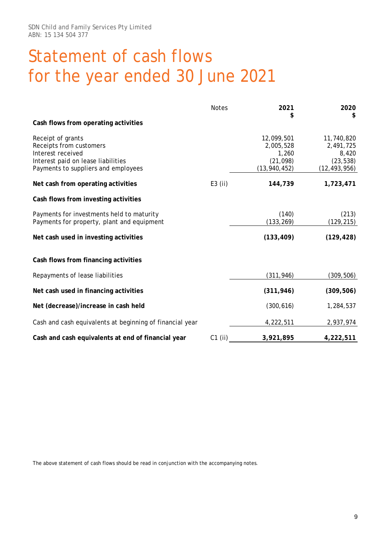# Statement of cash flows for the year ended 30 June 2021

|                                                                                                                                                | <b>Notes</b> | 2021                                                            | 2020<br>\$                                                      |
|------------------------------------------------------------------------------------------------------------------------------------------------|--------------|-----------------------------------------------------------------|-----------------------------------------------------------------|
| Cash flows from operating activities                                                                                                           |              |                                                                 |                                                                 |
| Receipt of grants<br>Receipts from customers<br>Interest received<br>Interest paid on lease liabilities<br>Payments to suppliers and employees |              | 12,099,501<br>2,005,528<br>1,260<br>(21, 098)<br>(13, 940, 452) | 11,740,820<br>2,491,725<br>8,420<br>(23, 538)<br>(12, 493, 956) |
| Net cash from operating activities                                                                                                             | $E3$ (ii)    | 144,739                                                         | 1,723,471                                                       |
| Cash flows from investing activities                                                                                                           |              |                                                                 |                                                                 |
| Payments for investments held to maturity<br>Payments for property, plant and equipment                                                        |              | (140)<br>(133, 269)                                             | (213)<br>(129, 215)                                             |
| Net cash used in investing activities                                                                                                          |              | (133, 409)                                                      | (129, 428)                                                      |
| Cash flows from financing activities                                                                                                           |              |                                                                 |                                                                 |
| Repayments of lease liabilities                                                                                                                |              | (311, 946)                                                      | (309, 506)                                                      |
| Net cash used in financing activities                                                                                                          |              | (311, 946)                                                      | (309, 506)                                                      |
| Net (decrease)/increase in cash held                                                                                                           |              | (300, 616)                                                      | 1,284,537                                                       |
| Cash and cash equivalents at beginning of financial year                                                                                       |              | 4,222,511                                                       | 2,937,974                                                       |
| Cash and cash equivalents at end of financial year                                                                                             | $C1$ (ii)    | 3,921,895                                                       | 4,222,511                                                       |

The above statement of cash flows should be read in conjunction with the accompanying notes.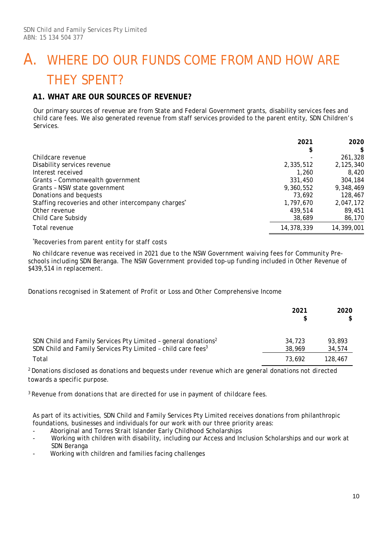# A. WHERE DO OUR FUNDS COME FROM AND HOW ARE THEY SPENT?

### **A1. WHAT ARE OUR SOURCES OF REVENUE?**

Our primary sources of revenue are from State and Federal Government grants, disability services fees and child care fees. We also generated revenue from staff services provided to the parent entity, SDN Children's Services.

|                                                                 | 2021       | 2020       |
|-----------------------------------------------------------------|------------|------------|
|                                                                 | \$         | \$         |
| Childcare revenue                                               |            | 261,328    |
| Disability services revenue                                     | 2,335,512  | 2,125,340  |
| Interest received                                               | 1,260      | 8,420      |
| Grants - Commonwealth government                                | 331,450    | 304,184    |
| Grants - NSW state government                                   | 9,360,552  | 9,348,469  |
| Donations and bequests                                          | 73.692     | 128,467    |
| Staffing recoveries and other intercompany charges <sup>*</sup> | 1,797,670  | 2,047,172  |
| Other revenue                                                   | 439,514    | 89,451     |
| Child Care Subsidy                                              | 38,689     | 86,170     |
| Total revenue                                                   | 14,378,339 | 14,399,001 |

#### *\* Recoveries from parent entity for staff costs*

*No childcare revenue was received in 2021 due to the NSW Government waiving fees for Community Preschools including SDN Beranga. The NSW Government provided top-up funding included in Other Revenue of \$439,514 in replacement.*

*Donations recognised in Statement of Profit or Loss and Other Comprehensive Income*

|                                                                                                                                                        | 2021             | 2020<br>S.       |
|--------------------------------------------------------------------------------------------------------------------------------------------------------|------------------|------------------|
| SDN Child and Family Services Pty Limited - general donations <sup>2</sup><br>SDN Child and Family Services Pty Limited - child care fees <sup>3</sup> | 34,723<br>38,969 | 93.893<br>34,574 |
| Total                                                                                                                                                  | 73.692           | 128,467          |

*2 Donations disclosed as donations and bequests under revenue which are general donations not directed towards a specific purpose.*

<sup>3</sup>*Revenue from donations that are directed for use in payment of childcare fees.*

As part of its activities, SDN Child and Family Services Pty Limited receives donations from philanthropic foundations, businesses and individuals for our work with our three priority areas:

- Aboriginal and Torres Strait Islander Early Childhood Scholarships
- Working with children with disability, including our Access and Inclusion Scholarships and our work at SDN Beranga
- Working with children and families facing challenges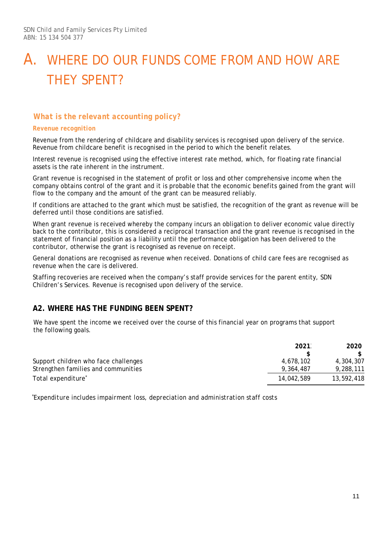# A. WHERE DO OUR FUNDS COME FROM AND HOW ARE THEY SPENT?

### *What is the relevant accounting policy?*

#### *Revenue recognition*

Revenue from the rendering of childcare and disability services is recognised upon delivery of the service. Revenue from childcare benefit is recognised in the period to which the benefit relates.

Interest revenue is recognised using the effective interest rate method, which, for floating rate financial assets is the rate inherent in the instrument.

Grant revenue is recognised in the statement of profit or loss and other comprehensive income when the company obtains control of the grant and it is probable that the economic benefits gained from the grant will flow to the company and the amount of the grant can be measured reliably.

If conditions are attached to the grant which must be satisfied, the recognition of the grant as revenue will be deferred until those conditions are satisfied.

When grant revenue is received whereby the company incurs an obligation to deliver economic value directly back to the contributor, this is considered a reciprocal transaction and the grant revenue is recognised in the statement of financial position as a liability until the performance obligation has been delivered to the contributor, otherwise the grant is recognised as revenue on receipt.

General donations are recognised as revenue when received. Donations of child care fees are recognised as revenue when the care is delivered.

Staffing recoveries are received when the company's staff provide services for the parent entity, SDN Children's Services. Revenue is recognised upon delivery of the service.

### **A2. WHERE HAS THE FUNDING BEEN SPENT?**

We have spent the income we received over the course of this financial year on programs that support the following goals.

|                                      | 2021       | 2020       |
|--------------------------------------|------------|------------|
|                                      |            |            |
| Support children who face challenges | 4,678,102  | 4,304,307  |
| Strengthen families and communities  | 9.364.487  | 9,288,111  |
| Total expenditure <sup>*</sup>       | 14,042,589 | 13,592,418 |

 *\* Expenditure includes impairment loss, depreciation and administration staff costs*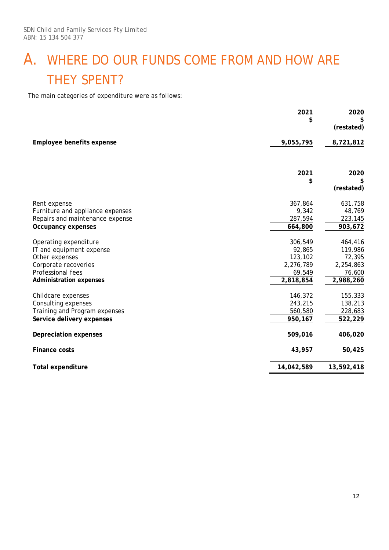# A. WHERE DO OUR FUNDS COME FROM AND HOW ARE THEY SPENT?

The main categories of expenditure were as follows:

|                                                                                                                                                    | 2021<br>\$                                                       | 2020<br>S<br>(restated)                                          |
|----------------------------------------------------------------------------------------------------------------------------------------------------|------------------------------------------------------------------|------------------------------------------------------------------|
| Employee benefits expense                                                                                                                          | 9,055,795                                                        | 8,721,812                                                        |
|                                                                                                                                                    | 2021<br>\$                                                       | 2020<br>(restated)                                               |
| Rent expense<br>Furniture and appliance expenses<br>Repairs and maintenance expense<br>Occupancy expenses                                          | 367,864<br>9,342<br>287,594<br>664,800                           | 631,758<br>48,769<br>223,145<br>903,672                          |
| Operating expenditure<br>IT and equipment expense<br>Other expenses<br>Corporate recoveries<br>Professional fees<br><b>Administration expenses</b> | 306,549<br>92,865<br>123,102<br>2,276,789<br>69,549<br>2,818,854 | 464,416<br>119,986<br>72,395<br>2,254,863<br>76,600<br>2,988,260 |
| Childcare expenses<br>Consulting expenses<br>Training and Program expenses<br>Service delivery expenses                                            | 146,372<br>243,215<br>560,580<br>950,167                         | 155,333<br>138,213<br>228,683<br>522,229                         |
| Depreciation expenses                                                                                                                              | 509,016                                                          | 406,020                                                          |
| <b>Finance costs</b>                                                                                                                               | 43,957                                                           | 50,425                                                           |
| <b>Total expenditure</b>                                                                                                                           | 14,042,589                                                       | 13,592,418                                                       |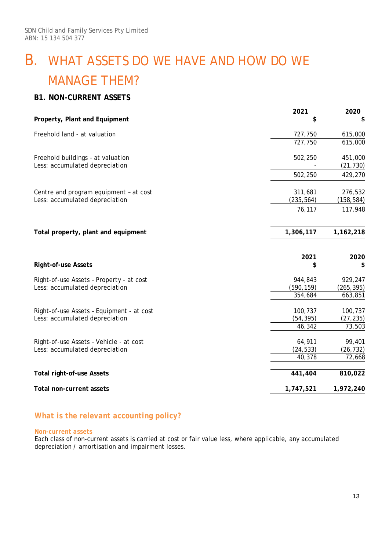# B. WHAT ASSETS DO WE HAVE AND HOW DO WE MANAGE THEM?

### **B1. NON-CURRENT ASSETS**

| Property, Plant and Equipment             | 2021       | 2020       |
|-------------------------------------------|------------|------------|
|                                           | \$         | \$         |
| Freehold land - at valuation              | 727,750    | 615,000    |
|                                           | 727,750    | 615,000    |
| Freehold buildings - at valuation         | 502,250    | 451,000    |
| Less: accumulated depreciation            |            | (21, 730)  |
|                                           | 502,250    | 429,270    |
| Centre and program equipment - at cost    | 311,681    | 276,532    |
| Less: accumulated depreciation            | (235, 564) | (158, 584) |
|                                           | 76,117     | 117,948    |
| Total property, plant and equipment       | 1,306,117  | 1,162,218  |
|                                           | 2021       | 2020       |
| <b>Right-of-use Assets</b>                | \$         | \$         |
| Right-of-use Assets - Property - at cost  | 944,843    | 929,247    |
| Less: accumulated depreciation            | (590, 159) | (265, 395) |
|                                           | 354,684    | 663,851    |
| Right-of-use Assets - Equipment - at cost | 100,737    | 100,737    |
|                                           | (54, 395)  | (27, 235)  |
| Less: accumulated depreciation            |            |            |
|                                           | 46,342     | 73,503     |
| Right-of-use Assets - Vehicle - at cost   | 64,911     | 99,401     |
| Less: accumulated depreciation            | (24, 533)  | (26, 732)  |
|                                           | 40,378     | 72,668     |
| <b>Total right-of-use Assets</b>          | 441,404    | 810,022    |

### *What is the relevant accounting policy?*

#### *Non-current assets*

Each class of non-current assets is carried at cost or fair value less, where applicable, any accumulated depreciation / amortisation and impairment losses.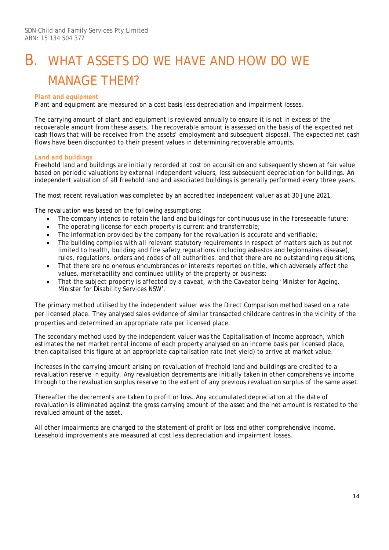# B. WHAT ASSETS DO WE HAVE AND HOW DO WE MANAGE THEM?

#### *Plant and equipment*

Plant and equipment are measured on a cost basis less depreciation and impairment losses.

The carrying amount of plant and equipment is reviewed annually to ensure it is not in excess of the recoverable amount from these assets. The recoverable amount is assessed on the basis of the expected net cash flows that will be received from the assets' employment and subsequent disposal. The expected net cash flows have been discounted to their present values in determining recoverable amounts.

#### *Land and buildings*

Freehold land and buildings are initially recorded at cost on acquisition and subsequently shown at fair value based on periodic valuations by external independent valuers, less subsequent depreciation for buildings. An independent valuation of all freehold land and associated buildings is generally performed every three years.

The most recent revaluation was completed by an accredited independent valuer as at 30 June 2021.

The revaluation was based on the following assumptions:

- The company intends to retain the land and buildings for continuous use in the foreseeable future;
- The operating license for each property is current and transferrable;
- The information provided by the company for the revaluation is accurate and verifiable;
- The building complies with all relevant statutory requirements in respect of matters such as but not limited to health, building and fire safety regulations (including asbestos and legionnaires disease), rules, regulations, orders and codes of all authorities, and that there are no outstanding requisitions;
- That there are no onerous encumbrances or interests reported on title, which adversely affect the values, marketability and continued utility of the property or business;
- That the subject property is affected by a caveat, with the Caveator being 'Minister for Ageing, Minister for Disability Services NSW'.

The primary method utilised by the independent valuer was the Direct Comparison method based on a rate per licensed place. They analysed sales evidence of similar transacted childcare centres in the vicinity of the properties and determined an appropriate rate per licensed place.

The secondary method used by the independent valuer was the Capitalisation of Income approach, which estimates the net market rental income of each property analysed on an income basis per licensed place, then capitalised this figure at an appropriate capitalisation rate (net yield) to arrive at market value.

Increases in the carrying amount arising on revaluation of freehold land and buildings are credited to a revaluation reserve in equity. Any revaluation decrements are initially taken in other comprehensive income through to the revaluation surplus reserve to the extent of any previous revaluation surplus of the same asset.

Thereafter the decrements are taken to profit or loss. Any accumulated depreciation at the date of revaluation is eliminated against the gross carrying amount of the asset and the net amount is restated to the revalued amount of the asset.

All other impairments are charged to the statement of profit or loss and other comprehensive income. Leasehold improvements are measured at cost less depreciation and impairment losses.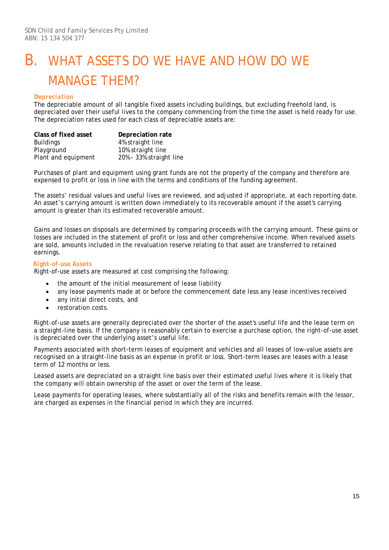# B. WHAT ASSETS DO WE HAVE AND HOW DO WE MANAGE THEM?

#### *Depreciation*

The depreciable amount of all tangible fixed assets including buildings, but excluding freehold land, is depreciated over their useful lives to the company commencing from the time the asset is held ready for use. The depreciation rates used for each class of depreciable assets are:

| Class of fixed asset | Depreciation rate       |
|----------------------|-------------------------|
| <b>Buildings</b>     | 4% straight line        |
| Playground           | 10% straight line       |
| Plant and equipment  | 20% - 33% straight line |

Purchases of plant and equipment using grant funds are not the property of the company and therefore are expensed to profit or loss in line with the terms and conditions of the funding agreement.

The assets' residual values and useful lives are reviewed, and adjusted if appropriate, at each reporting date. An asset's carrying amount is written down immediately to its recoverable amount if the asset's carrying amount is greater than its estimated recoverable amount.

Gains and losses on disposals are determined by comparing proceeds with the carrying amount. These gains or losses are included in the statement of profit or loss and other comprehensive income. When revalued assets are sold, amounts included in the revaluation reserve relating to that asset are transferred to retained earnings.

#### *Right-of-use Assets*

Right-of-use assets are measured at cost comprising the following:

- the amount of the initial measurement of lease liability
- any lease payments made at or before the commencement date less any lease incentives received
- any initial direct costs, and
- restoration costs.

Right-of-use assets are generally depreciated over the shorter of the asset's useful life and the lease term on a straight-line basis. If the company is reasonably certain to exercise a purchase option, the right-of-use asset is depreciated over the underlying asset's useful life.

Payments associated with short-term leases of equipment and vehicles and all leases of low-value assets are recognised on a straight-line basis as an expense in profit or loss. Short-term leases are leases with a lease term of 12 months or less.

Leased assets are depreciated on a straight line basis over their estimated useful lives where it is likely that the company will obtain ownership of the asset or over the term of the lease.

Lease payments for operating leases, where substantially all of the risks and benefits remain with the lessor, are charged as expenses in the financial period in which they are incurred.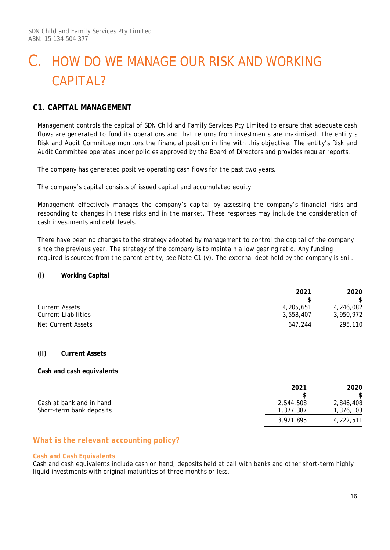### **C1. CAPITAL MANAGEMENT**

Management controls the capital of SDN Child and Family Services Pty Limited to ensure that adequate cash flows are generated to fund its operations and that returns from investments are maximised. The entity's Risk and Audit Committee monitors the financial position in line with this objective. The entity's Risk and Audit Committee operates under policies approved by the Board of Directors and provides regular reports.

The company has generated positive operating cash flows for the past two years.

The company's capital consists of issued capital and accumulated equity.

Management effectively manages the company's capital by assessing the company's financial risks and responding to changes in these risks and in the market. These responses may include the consideration of cash investments and debt levels.

There have been no changes to the strategy adopted by management to control the capital of the company since the previous year. The strategy of the company is to maintain a low gearing ratio. Any funding required is sourced from the parent entity, see Note C1 (v). The external debt held by the company is \$nil.

#### **(i) Working Capital**

|                       | 2021      | 2020      |
|-----------------------|-----------|-----------|
|                       | \$        | \$        |
| <b>Current Assets</b> | 4,205,651 | 4,246,082 |
| Current Liabilities   | 3,558,407 | 3,950,972 |
| Net Current Assets    | 647.244   | 295,110   |

#### **(ii) Current Assets**

#### **Cash and cash equivalents**

|                          | 2021      | 2020      |
|--------------------------|-----------|-----------|
|                          |           | \$.       |
| Cash at bank and in hand | 2,544,508 | 2,846,408 |
| Short-term bank deposits | 1,377,387 | 1,376,103 |
|                          | 3,921,895 | 4,222,511 |

### *What is the relevant accounting policy?*

#### *Cash and Cash Equivalents*

Cash and cash equivalents include cash on hand, deposits held at call with banks and other short-term highly liquid investments with original maturities of three months or less.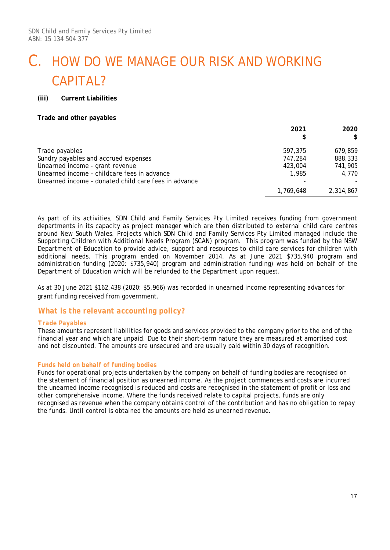#### **(iii) Current Liabilities**

#### **Trade and other payables**

|                                                      | 2021<br>\$ | 2020<br>\$ |
|------------------------------------------------------|------------|------------|
| Trade payables                                       | 597.375    | 679.859    |
| Sundry payables and accrued expenses                 | 747.284    | 888,333    |
| Unearned income - grant revenue                      | 423,004    | 741,905    |
| Unearned income - childcare fees in advance          | 1,985      | 4.770      |
| Unearned income - donated child care fees in advance |            |            |
|                                                      | 1,769,648  | 2,314,867  |

As part of its activities, SDN Child and Family Services Pty Limited receives funding from government departments in its capacity as project manager which are then distributed to external child care centres around New South Wales. Projects which SDN Child and Family Services Pty Limited managed include the Supporting Children with Additional Needs Program (SCAN) program. This program was funded by the NSW Department of Education to provide advice, support and resources to child care services for children with additional needs. This program ended on November 2014. As at June 2021 \$735,940 program and administration funding (2020: \$735,940) program and administration funding) was held on behalf of the Department of Education which will be refunded to the Department upon request.

As at 30 June 2021 \$162,438 (2020: \$5,966) was recorded in unearned income representing advances for grant funding received from government.

#### *What is the relevant accounting policy?*

#### *Trade Payables*

These amounts represent liabilities for goods and services provided to the company prior to the end of the financial year and which are unpaid. Due to their short-term nature they are measured at amortised cost and not discounted. The amounts are unsecured and are usually paid within 30 days of recognition.

#### *Funds held on behalf of funding bodies*

Funds for operational projects undertaken by the company on behalf of funding bodies are recognised on the statement of financial position as unearned income. As the project commences and costs are incurred the unearned income recognised is reduced and costs are recognised in the statement of profit or loss and other comprehensive income. Where the funds received relate to capital projects, funds are only recognised as revenue when the company obtains control of the contribution and has no obligation to repay the funds. Until control is obtained the amounts are held as unearned revenue.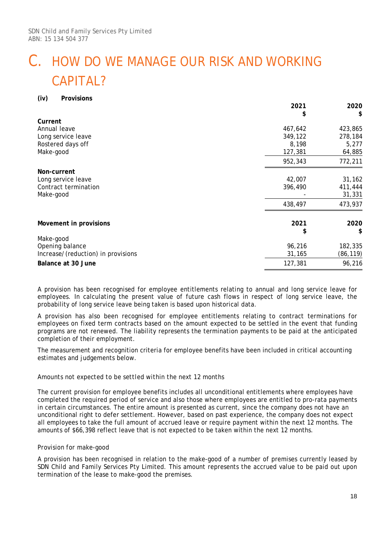#### **(iv) Provisions**

|                                    | 2021    | 2020     |
|------------------------------------|---------|----------|
| Current                            | \$      | \$       |
| Annual leave                       | 467,642 | 423,865  |
| Long service leave                 | 349,122 | 278,184  |
| Rostered days off                  | 8,198   | 5,277    |
| Make-good                          | 127,381 | 64,885   |
|                                    | 952,343 | 772,211  |
| Non-current                        |         |          |
| Long service leave                 | 42,007  | 31,162   |
| Contract termination               | 396,490 | 411,444  |
| Make-good                          |         | 31,331   |
|                                    | 438,497 | 473,937  |
| Movement in provisions             | 2021    | 2020     |
|                                    | \$      | \$       |
| Make-good                          |         |          |
| Opening balance                    | 96,216  | 182,335  |
| Increase/(reduction) in provisions | 31,165  | (86,119) |
| Balance at 30 June                 | 127,381 | 96,216   |

A provision has been recognised for employee entitlements relating to annual and long service leave for employees. In calculating the present value of future cash flows in respect of long service leave, the probability of long service leave being taken is based upon historical data.

A provision has also been recognised for employee entitlements relating to contract terminations for employees on fixed term contracts based on the amount expected to be settled in the event that funding programs are not renewed. The liability represents the termination payments to be paid at the anticipated completion of their employment.

The measurement and recognition criteria for employee benefits have been included in critical accounting estimates and judgements below.

#### *Amounts not expected to be settled within the next 12 months*

The current provision for employee benefits includes all unconditional entitlements where employees have completed the required period of service and also those where employees are entitled to pro-rata payments in certain circumstances. The entire amount is presented as current, since the company does not have an unconditional right to defer settlement. However, based on past experience, the company does not expect all employees to take the full amount of accrued leave or require payment within the next 12 months. The amounts of \$66,398 reflect leave that is not expected to be taken within the next 12 months.

#### *Provision for make-good*

A provision has been recognised in relation to the make-good of a number of premises currently leased by SDN Child and Family Services Pty Limited. This amount represents the accrued value to be paid out upon termination of the lease to make-good the premises.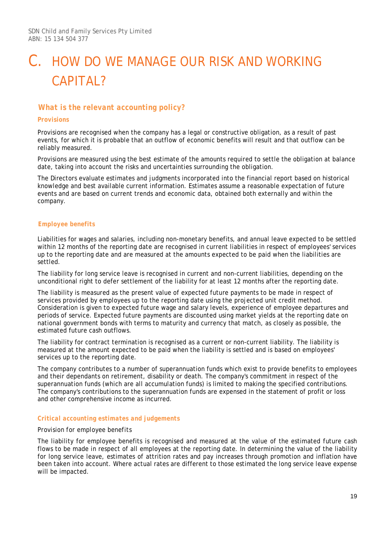### *What is the relevant accounting policy?*

#### *Provisions*

Provisions are recognised when the company has a legal or constructive obligation, as a result of past events, for which it is probable that an outflow of economic benefits will result and that outflow can be reliably measured.

Provisions are measured using the best estimate of the amounts required to settle the obligation at balance date, taking into account the risks and uncertainties surrounding the obligation.

The Directors evaluate estimates and judgments incorporated into the financial report based on historical knowledge and best available current information. Estimates assume a reasonable expectation of future events and are based on current trends and economic data, obtained both externally and within the company.

#### *Employee benefits*

Liabilities for wages and salaries, including non-monetary benefits, and annual leave expected to be settled within 12 months of the reporting date are recognised in current liabilities in respect of employees' services up to the reporting date and are measured at the amounts expected to be paid when the liabilities are settled.

The liability for long service leave is recognised in current and non-current liabilities, depending on the unconditional right to defer settlement of the liability for at least 12 months after the reporting date.

The liability is measured as the present value of expected future payments to be made in respect of services provided by employees up to the reporting date using the projected unit credit method. Consideration is given to expected future wage and salary levels, experience of employee departures and periods of service. Expected future payments are discounted using market yields at the reporting date on national government bonds with terms to maturity and currency that match, as closely as possible, the estimated future cash outflows.

The liability for contract termination is recognised as a current or non-current liability. The liability is measured at the amount expected to be paid when the liability is settled and is based on employees' services up to the reporting date.

The company contributes to a number of superannuation funds which exist to provide benefits to employees and their dependants on retirement, disability or death. The company's commitment in respect of the superannuation funds (which are all accumulation funds) is limited to making the specified contributions. The company's contributions to the superannuation funds are expensed in the statement of profit or loss and other comprehensive income as incurred.

#### *Critical accounting estimates and judgements*

#### *Provision for employee benefits*

The liability for employee benefits is recognised and measured at the value of the estimated future cash flows to be made in respect of all employees at the reporting date. In determining the value of the liability for long service leave, estimates of attrition rates and pay increases through promotion and inflation have been taken into account. Where actual rates are different to those estimated the long service leave expense will be impacted.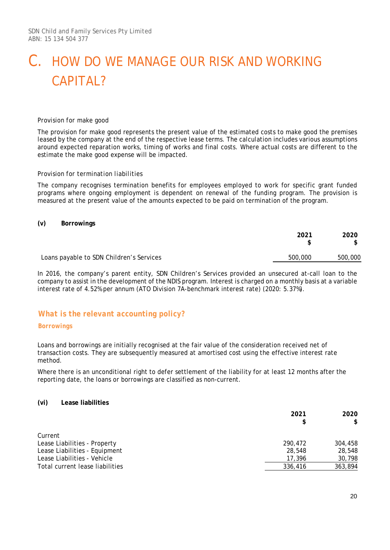#### *Provision for make good*

The provision for make good represents the present value of the estimated costs to make good the premises leased by the company at the end of the respective lease terms. The calculation includes various assumptions around expected reparation works, timing of works and final costs. Where actual costs are different to the estimate the make good expense will be impacted.

#### *Provision for termination liabilities*

The company recognises termination benefits for employees employed to work for specific grant funded programs where ongoing employment is dependent on renewal of the funding program. The provision is measured at the present value of the amounts expected to be paid on termination of the program.

#### **(v) Borrowings**

|                                          | 2021    | 2020    |
|------------------------------------------|---------|---------|
| Loans payable to SDN Children's Services | 500,000 | 500,000 |

In 2016, the company's parent entity, SDN Children's Services provided an unsecured at-call loan to the company to assist in the development of the NDIS program. Interest is charged on a monthly basis at a variable interest rate of 4.52% per annum (ATO Division 7A-benchmark interest rate) (2020: 5.37%).

### *What is the relevant accounting policy?*

#### *Borrowings*

Loans and borrowings are initially recognised at the fair value of the consideration received net of transaction costs. They are subsequently measured at amortised cost using the effective interest rate method.

Where there is an unconditional right to defer settlement of the liability for at least 12 months after the reporting date, the loans or borrowings are classified as non-current.

#### **(vi) Lease liabilities**

|                                 | 2021    | 2020<br>\$ |
|---------------------------------|---------|------------|
| Current                         |         |            |
|                                 |         |            |
| Lease Liabilities - Property    | 290.472 | 304,458    |
| Lease Liabilities - Equipment   | 28,548  | 28,548     |
| Lease Liabilities - Vehicle     | 17,396  | 30,798     |
| Total current lease liabilities | 336,416 | 363,894    |
|                                 |         |            |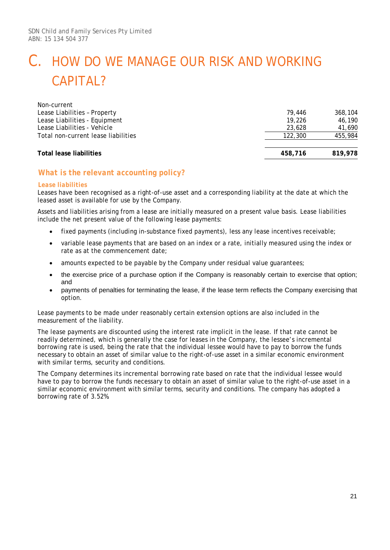| Non-current                         |         |         |
|-------------------------------------|---------|---------|
| Lease Liabilities - Property        | 79.446  | 368,104 |
| Lease Liabilities - Equipment       | 19.226  | 46,190  |
| Lease Liabilities - Vehicle         | 23,628  | 41,690  |
| Total non-current lease liabilities | 122,300 | 455,984 |
| Total lease liabilities             | 458,716 | 819,978 |

### *What is the relevant accounting policy?*

#### *Lease liabilities*

Leases have been recognised as a right-of-use asset and a corresponding liability at the date at which the leased asset is available for use by the Company.

Assets and liabilities arising from a lease are initially measured on a present value basis. Lease liabilities include the net present value of the following lease payments:

- fixed payments (including in-substance fixed payments), less any lease incentives receivable;
- variable lease payments that are based on an index or a rate, initially measured using the index or rate as at the commencement date;
- amounts expected to be payable by the Company under residual value quarantees;
- the exercise price of a purchase option if the Company is reasonably certain to exercise that option; and
- payments of penalties for terminating the lease, if the lease term reflects the Company exercising that option.

Lease payments to be made under reasonably certain extension options are also included in the measurement of the liability.

The lease payments are discounted using the interest rate implicit in the lease. If that rate cannot be readily determined, which is generally the case for leases in the Company, the lessee's incremental borrowing rate is used, being the rate that the individual lessee would have to pay to borrow the funds necessary to obtain an asset of similar value to the right-of-use asset in a similar economic environment with similar terms, security and conditions.

The Company determines its incremental borrowing rate based on rate that the individual lessee would have to pay to borrow the funds necessary to obtain an asset of similar value to the right-of-use asset in a similar economic environment with similar terms, security and conditions. The company has adopted a borrowing rate of 3.52%.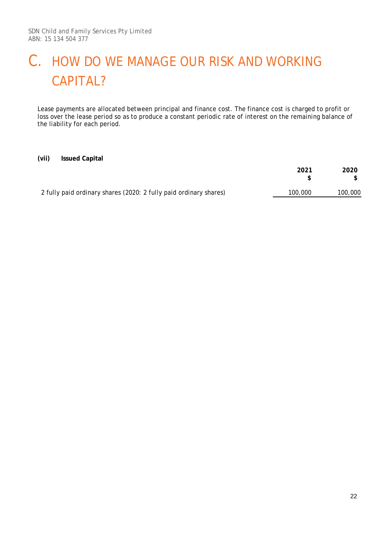Lease payments are allocated between principal and finance cost. The finance cost is charged to profit or loss over the lease period so as to produce a constant periodic rate of interest on the remaining balance of the liability for each period.

#### **(vii) Issued Capital**

|                                                                   | 2021    | 2020    |
|-------------------------------------------------------------------|---------|---------|
| 2 fully paid ordinary shares (2020: 2 fully paid ordinary shares) | 100,000 | 100,000 |
|                                                                   |         |         |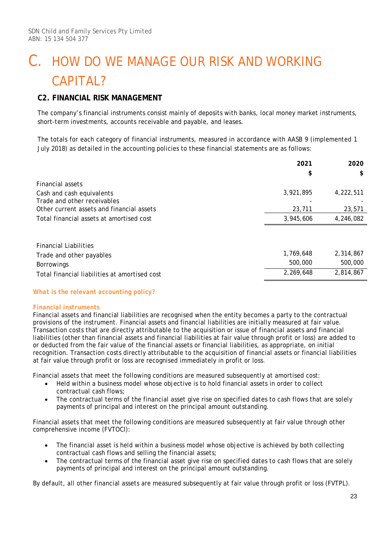### **C2. FINANCIAL RISK MANAGEMENT**

The company's financial instruments consist mainly of deposits with banks, local money market instruments, short-term investments, accounts receivable and payable, and leases.

The totals for each category of financial instruments, measured in accordance with *AASB 9* (implemented 1 July 2018) as detailed in the accounting policies to these financial statements are as follows:

|                                               | 2021      | 2020      |
|-----------------------------------------------|-----------|-----------|
|                                               | \$        | S         |
| Financial assets                              |           |           |
| Cash and cash equivalents                     | 3,921,895 | 4,222,511 |
| Trade and other receivables                   |           |           |
| Other current assets and financial assets     | 23,711    | 23,571    |
| Total financial assets at amortised cost      | 3,945,606 | 4,246,082 |
|                                               |           |           |
| <b>Financial Liabilities</b>                  |           |           |
| Trade and other payables                      | 1,769,648 | 2,314,867 |
| Borrowings                                    | 500,000   | 500,000   |
| Total financial liabilities at amortised cost | 2,269,648 | 2,814,867 |

#### *What is the relevant accounting policy?*

#### *Financial instruments*

Financial assets and financial liabilities are recognised when the entity becomes a party to the contractual provisions of the instrument. Financial assets and financial liabilities are initially measured at fair value. Transaction costs that are directly attributable to the acquisition or issue of financial assets and financial liabilities (other than financial assets and financial liabilities at fair value through profit or loss) are added to or deducted from the fair value of the financial assets or financial liabilities, as appropriate, on initial recognition. Transaction costs directly attributable to the acquisition of financial assets or financial liabilities at fair value through profit or loss are recognised immediately in profit or loss.

Financial assets that meet the following conditions are measured subsequently at amortised cost:

- Held within a business model whose objective is to hold financial assets in order to collect contractual cash flows;
- The contractual terms of the financial asset give rise on specified dates to cash flows that are solely payments of principal and interest on the principal amount outstanding.

Financial assets that meet the following conditions are measured subsequently at fair value through other comprehensive income (FVTOCI):

- The financial asset is held within a business model whose objective is achieved by both collecting contractual cash flows and selling the financial assets;
- The contractual terms of the financial asset give rise on specified dates to cash flows that are solely payments of principal and interest on the principal amount outstanding.

By default, all other financial assets are measured subsequently at fair value through profit or loss (FVTPL).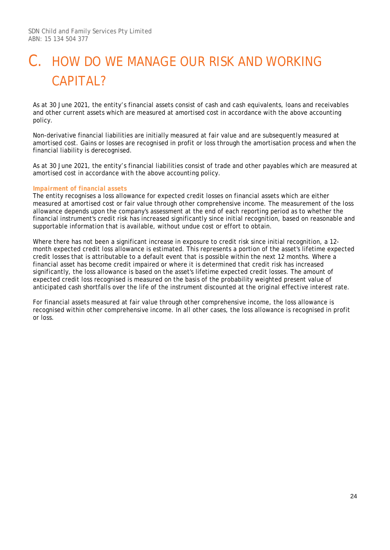As at 30 June 2021, the entity's financial assets consist of cash and cash equivalents, loans and receivables and other current assets which are measured at amortised cost in accordance with the above accounting policy.

Non-derivative financial liabilities are initially measured at fair value and are subsequently measured at amortised cost. Gains or losses are recognised in profit or loss through the amortisation process and when the financial liability is derecognised.

As at 30 June 2021, the entity's financial liabilities consist of trade and other payables which are measured at amortised cost in accordance with the above accounting policy.

#### *Impairment of financial assets*

The entity recognises a loss allowance for expected credit losses on financial assets which are either measured at amortised cost or fair value through other comprehensive income. The measurement of the loss allowance depends upon the company's assessment at the end of each reporting period as to whether the financial instrument's credit risk has increased significantly since initial recognition, based on reasonable and supportable information that is available, without undue cost or effort to obtain.

Where there has not been a significant increase in exposure to credit risk since initial recognition, a 12month expected credit loss allowance is estimated. This represents a portion of the asset's lifetime expected credit losses that is attributable to a default event that is possible within the next 12 months. Where a financial asset has become credit impaired or where it is determined that credit risk has increased significantly, the loss allowance is based on the asset's lifetime expected credit losses. The amount of expected credit loss recognised is measured on the basis of the probability weighted present value of anticipated cash shortfalls over the life of the instrument discounted at the original effective interest rate.

For financial assets measured at fair value through other comprehensive income, the loss allowance is recognised within other comprehensive income. In all other cases, the loss allowance is recognised in profit or loss.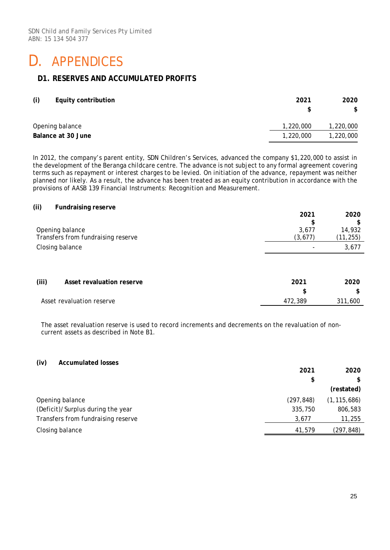### D. APPENDICES

### **D1. RESERVES AND ACCUMULATED PROFITS**

| (i) | <b>Equity contribution</b> | 2021<br>S | 2020<br>\$ |
|-----|----------------------------|-----------|------------|
|     | Opening balance            | 1,220,000 | 1,220,000  |
|     | Balance at 30 June         | 1,220,000 | 1,220,000  |

In 2012, the company's parent entity, SDN Children's Services, advanced the company \$1,220,000 to assist in the development of the Beranga childcare centre. The advance is not subject to any formal agreement covering terms such as repayment or interest charges to be levied. On initiation of the advance, repayment was neither planned nor likely. As a result, the advance has been treated as an equity contribution in accordance with the provisions of *AASB 139 Financial Instruments: Recognition and Measurement*.

| (ii)<br><b>Fundraising reserve</b> |          |            |
|------------------------------------|----------|------------|
|                                    | 2021     | 2020<br>\$ |
| Opening balance                    | 3,677    | 14,932     |
| Transfers from fundraising reserve | (3, 677) | (11, 255)  |
| Closing balance                    |          | 3,677      |
|                                    |          |            |
| (iii)<br>Asset revaluation reserve | 2021     | 2020       |
|                                    | \$       | \$         |
| Asset revaluation reserve          | 472,389  | 311,600    |
|                                    |          |            |

The asset revaluation reserve is used to record increments and decrements on the revaluation of noncurrent assets as described in Note B1.

#### **(iv) Accumulated losses**

|                                    | 2021       | 2020          |
|------------------------------------|------------|---------------|
|                                    | \$         |               |
|                                    |            | (restated)    |
| Opening balance                    | (297, 848) | (1, 115, 686) |
| (Deficit)/Surplus during the year  | 335,750    | 806,583       |
| Transfers from fundraising reserve | 3,677      | 11,255        |
| Closing balance                    | 41,579     | (297,848)     |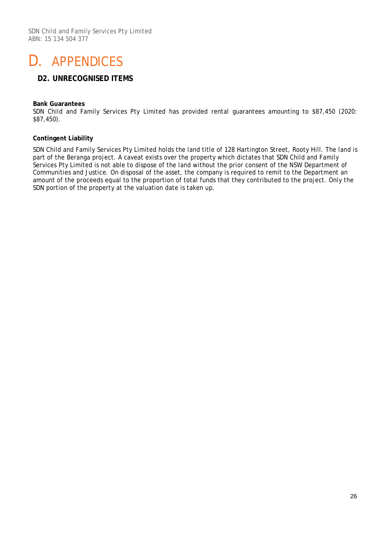# D. APPENDICES

### **D2. UNRECOGNISED ITEMS**

#### **Bank Guarantees**

SDN Child and Family Services Pty Limited has provided rental guarantees amounting to \$87,450 (2020: \$87,450).

#### **Contingent Liability**

SDN Child and Family Services Pty Limited holds the land title of 128 Hartington Street, Rooty Hill. The land is part of the Beranga project. A caveat exists over the property which dictates that SDN Child and Family Services Pty Limited is not able to dispose of the land without the prior consent of the NSW Department of Communities and Justice. On disposal of the asset, the company is required to remit to the Department an amount of the proceeds equal to the proportion of total funds that they contributed to the project. Only the SDN portion of the property at the valuation date is taken up.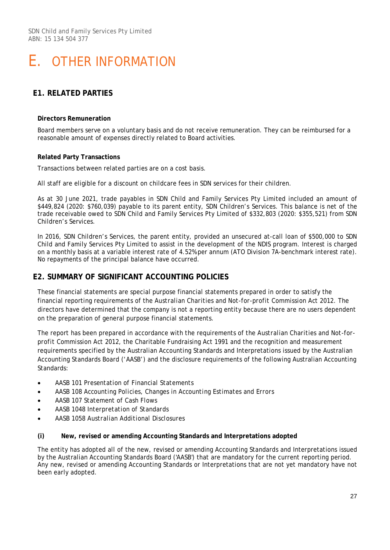### **E1. RELATED PARTIES**

#### **Directors Remuneration**

Board members serve on a voluntary basis and do not receive remuneration. They can be reimbursed for a reasonable amount of expenses directly related to Board activities.

#### **Related Party Transactions**

Transactions between related parties are on a cost basis.

All staff are eligible for a discount on childcare fees in SDN services for their children.

As at 30 June 2021, trade payables in SDN Child and Family Services Pty Limited included an amount of \$449,824 (2020: \$760,039) payable to its parent entity, SDN Children's Services. This balance is net of the trade receivable owed to SDN Child and Family Services Pty Limited of \$332,803 (2020: \$355,521) from SDN Children's Services.

In 2016, SDN Children's Services, the parent entity, provided an unsecured at-call loan of \$500,000 to SDN Child and Family Services Pty Limited to assist in the development of the NDIS program. Interest is charged on a monthly basis at a variable interest rate of 4.52% per annum (ATO Division 7A-benchmark interest rate). No repayments of the principal balance have occurred.

### **E2. SUMMARY OF SIGNIFICANT ACCOUNTING POLICIES**

These financial statements are special purpose financial statements prepared in order to satisfy the financial reporting requirements of the *Australian Charities and Not-for-profit Commission Act 2012*. The directors have determined that the company is not a reporting entity because there are no users dependent on the preparation of general purpose financial statements.

The report has been prepared in accordance with the requirements of the *Australian Charities and Not-forprofit Commission Act 2012*, the Charitable Fundraising Act 1991 and the recognition and measurement requirements specified by the Australian Accounting Standards and Interpretations issued by the Australian Accounting Standards Board ('AASB') and the disclosure requirements of the following Australian Accounting Standards:

- AASB 101 *Presentation of Financial Statements*
- AASB 108 *Accounting Policies, Changes in Accounting Estimates and Errors*
- AASB 107 *Statement of Cash Flows*
- AASB 1048 *Interpretation of Standards*
- AASB 1058 *Australian Additional Disclosures*

#### **(i) New, revised or amending Accounting Standards and Interpretations adopted**

The entity has adopted all of the new, revised or amending Accounting Standards and Interpretations issued by the Australian Accounting Standards Board ('AASB') that are mandatory for the current reporting period. Any new, revised or amending Accounting Standards or Interpretations that are not yet mandatory have not been early adopted.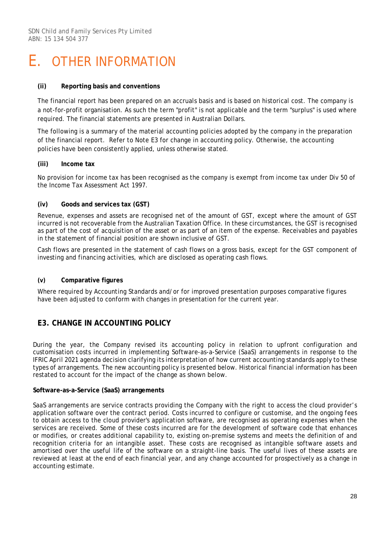#### **(ii) Reporting basis and conventions**

The financial report has been prepared on an accruals basis and is based on historical cost. The company is a not-for-profit organisation. As such the term "profit" is not applicable and the term "surplus" is used where required. The financial statements are presented in Australian Dollars.

The following is a summary of the material accounting policies adopted by the company in the preparation of the financial report. Refer to Note E3 for change in accounting policy. Otherwise, the accounting policies have been consistently applied, unless otherwise stated.

#### **(iii) Income tax**

No provision for income tax has been recognised as the company is exempt from income tax under Div 50 of the *Income Tax Assessment Act 1997*.

#### **(iv) Goods and services tax (GST)**

Revenue, expenses and assets are recognised net of the amount of GST, except where the amount of GST incurred is not recoverable from the Australian Taxation Office. In these circumstances, the GST is recognised as part of the cost of acquisition of the asset or as part of an item of the expense. Receivables and payables in the statement of financial position are shown inclusive of GST.

Cash flows are presented in the statement of cash flows on a gross basis, except for the GST component of investing and financing activities, which are disclosed as operating cash flows.

#### **(v) Comparative figures**

Where required by Accounting Standards and/or for improved presentation purposes comparative figures have been adjusted to conform with changes in presentation for the current year.

### **E3. CHANGE IN ACCOUNTING POLICY**

During the year, the Company revised its accounting policy in relation to upfront configuration and customisation costs incurred in implementing Software-as-a-Service (SaaS) arrangements in response to the IFRIC April 2021 agenda decision clarifying its interpretation of how current accounting standards apply to these types of arrangements. The new accounting policy is presented below. Historical financial information has been restated to account for the impact of the change as shown below.

#### **Software-as-a-Service (SaaS) arrangements**

SaaS arrangements are service contracts providing the Company with the right to access the cloud provider's application software over the contract period. Costs incurred to configure or customise, and the ongoing fees to obtain access to the cloud provider's application software, are recognised as operating expenses when the services are received. Some of these costs incurred are for the development of software code that enhances or modifies, or creates additional capability to, existing on-premise systems and meets the definition of and recognition criteria for an intangible asset. These costs are recognised as intangible software assets and amortised over the useful life of the software on a straight-line basis. The useful lives of these assets are reviewed at least at the end of each financial year, and any change accounted for prospectively as a change in accounting estimate.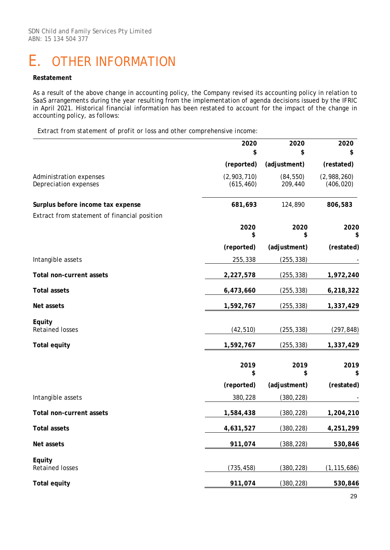#### **Restatement**

As a result of the above change in accounting policy, the Company revised its accounting policy in relation to SaaS arrangements during the year resulting from the implementation of agenda decisions issued by the IFRIC in April 2021. Historical financial information has been restated to account for the impact of the change in accounting policy, as follows:

*Extract from statement of profit or loss and other comprehensive income:*

|                                                  | 2020<br>\$                | 2020<br>\$           | 2020<br>\$                |
|--------------------------------------------------|---------------------------|----------------------|---------------------------|
|                                                  | (reported)                | (adjustment)         | (restated)                |
| Administration expenses<br>Depreciation expenses | (2,903,710)<br>(615, 460) | (84, 550)<br>209,440 | (2,988,260)<br>(406, 020) |
| Surplus before income tax expense                | 681,693                   | 124,890              | 806,583                   |
| Extract from statement of financial position     |                           |                      |                           |
|                                                  | 2020<br>\$                | 2020<br>\$           | 2020<br>\$                |
|                                                  | (reported)                | (adjustment)         | (restated)                |
| Intangible assets                                | 255,338                   | (255, 338)           |                           |
| Total non-current assets                         | 2,227,578                 | (255, 338)           | 1,972,240                 |
| <b>Total assets</b>                              | 6,473,660                 | (255, 338)           | 6,218,322                 |
| Net assets                                       | 1,592,767                 | (255, 338)           | 1,337,429                 |
| Equity<br>Retained losses                        | (42, 510)                 | (255, 338)           | (297, 848)                |
| <b>Total equity</b>                              | 1,592,767                 | (255, 338)           | 1,337,429                 |
|                                                  | 2019<br>\$                | 2019<br>\$           | 2019<br>\$                |
|                                                  | (reported)                | (adjustment)         | (restated)                |
| Intangible assets                                | 380,228                   | (380, 228)           |                           |
| Total non-current assets                         | 1,584,438                 | (380, 228)           | 1,204,210                 |
| <b>Total assets</b>                              | 4,631,527                 | (380, 228)           | 4,251,299                 |
| Net assets                                       | 911,074                   | (388, 228)           | 530,846                   |
| Equity<br><b>Retained losses</b>                 | (735, 458)                | (380, 228)           | (1, 115, 686)             |
| <b>Total equity</b>                              | 911,074                   | (380, 228)           | 530,846                   |
|                                                  |                           |                      |                           |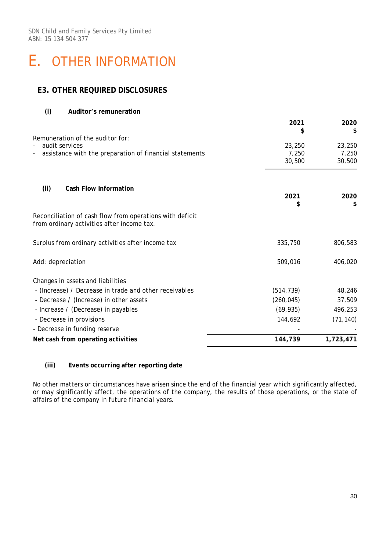### **E3. OTHER REQUIRED DISCLOSURES**

| (i)<br>Auditor's remuneration                                                                          |            |           |
|--------------------------------------------------------------------------------------------------------|------------|-----------|
|                                                                                                        | 2021       | 2020      |
|                                                                                                        | S          | \$        |
| Remuneration of the auditor for:<br>audit services                                                     | 23,250     | 23,250    |
| assistance with the preparation of financial statements                                                | 7,250      | 7,250     |
|                                                                                                        | 30,500     | 30,500    |
| Cash Flow Information                                                                                  |            |           |
| (ii)                                                                                                   | 2021       | 2020      |
|                                                                                                        | \$         | \$        |
| Reconciliation of cash flow from operations with deficit<br>from ordinary activities after income tax. |            |           |
| Surplus from ordinary activities after income tax                                                      | 335,750    | 806,583   |
| Add: depreciation                                                                                      | 509,016    | 406,020   |
| Changes in assets and liabilities                                                                      |            |           |
| - (Increase) / Decrease in trade and other receivables                                                 | (514, 739) | 48,246    |
| - Decrease / (Increase) in other assets                                                                | (260, 045) | 37,509    |
| - Increase / (Decrease) in payables                                                                    | (69, 935)  | 496,253   |
| - Decrease in provisions                                                                               | 144,692    | (71, 140) |
| - Decrease in funding reserve                                                                          |            |           |
| Net cash from operating activities                                                                     | 144,739    | 1,723,471 |

#### **(iii) Events occurring after reporting date**

No other matters or circumstances have arisen since the end of the financial year which significantly affected, or may significantly affect, the operations of the company, the results of those operations, or the state of affairs of the company in future financial years.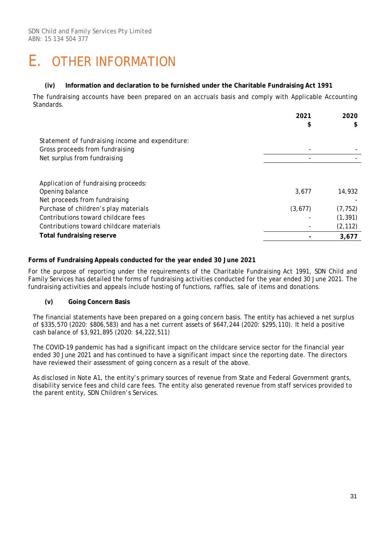#### **(iv) Information and declaration to be furnished under the Charitable Fundraising Act 1991**

The fundraising accounts have been prepared on an accruals basis and comply with Applicable Accounting Standards.

|                                                                                     | 2021<br>\$ | 2020<br>\$ |
|-------------------------------------------------------------------------------------|------------|------------|
| Statement of fundraising income and expenditure:<br>Gross proceeds from fundraising |            |            |
| Net surplus from fundraising                                                        |            |            |
| Application of fundraising proceeds:                                                |            |            |
| Opening balance<br>Net proceeds from fundraising                                    | 3,677      | 14,932     |
| Purchase of children's play materials                                               | (3,677)    | (7, 752)   |
| Contributions toward childcare fees                                                 |            | (1, 391)   |
| Contributions toward childcare materials                                            |            | (2, 112)   |
| <b>Total fundraising reserve</b>                                                    |            | 3,677      |

#### **Forms of Fundraising Appeals conducted for the year ended 30 June 2021**

For the purpose of reporting under the requirements of the Charitable Fundraising Act 1991, SDN Child and Family Services has detailed the forms of fundraising activities conducted for the year ended 30 June 2021. The fundraising activities and appeals include hosting of functions, raffles, sale of items and donations.

#### **(v) Going Concern Basis**

The financial statements have been prepared on a going concern basis. The entity has achieved a net surplus of \$335,570 (2020: \$806,583) and has a net current assets of \$647,244 (2020: \$295,110). It held a positive cash balance of \$3,921,895 (2020: \$4,222,511)

The COVID-19 pandemic has had a significant impact on the childcare service sector for the financial year ended 30 June 2021 and has continued to have a significant impact since the reporting date. The directors have reviewed their assessment of going concern as a result of the above.

As disclosed in Note A1, the entity's primary sources of revenue from State and Federal Government grants, disability service fees and child care fees. The entity also generated revenue from staff services provided to the parent entity, SDN Children's Services.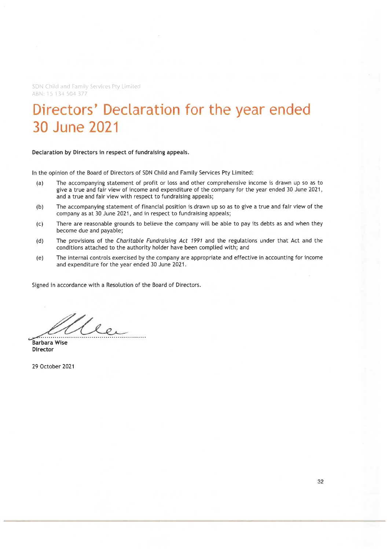SDN Child and Family Services Pty Limited ABN: 15 134 504 377

### Directors' Declaration for the year ended 30 June 2021

Declaration by Directors in respect of fundraising appeals.

In the opinion of the Board of Directors of SDN Child and Family Services Pty Limited:

- The accompanying statement of profit or loss and other comprehensive income is drawn up so as to  $(a)$ give a true and fair view of income and expenditure of the company for the year ended 30 June 2021, and a true and fair view with respect to fundraising appeals;
- The accompanying statement of financial position is drawn up so as to give a true and fair view of the  $(b)$ company as at 30 June 2021, and in respect to fundraising appeals;
- There are reasonable grounds to believe the company will be able to pay its debts as and when they  $(c)$ become due and payable;
- The provisions of the Charitable Fundraising Act 1991 and the regulations under that Act and the  $(d)$ conditions attached to the authority holder have been complied with; and
- The internal controls exercised by the company are appropriate and effective in accounting for income  $(e)$ and expenditure for the year ended 30 June 2021.

Signed in accordance with a Resolution of the Board of Directors.

1 ee

**Barbara Wise Director** 

29 October 2021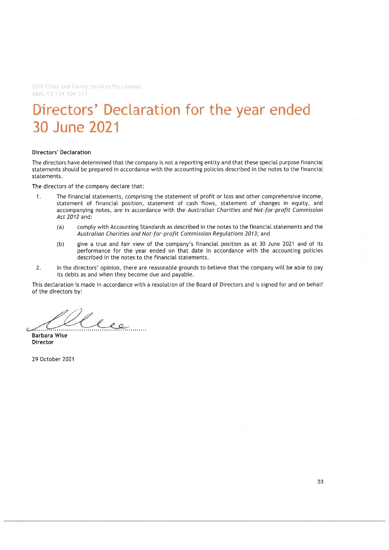SDN Child and Family Services Pty Limited ABN: 15 134 504 377

# Directors' Declaration for the year ended 30 June 2021

#### **Directors' Declaration**

The directors have determined that the company is not a reporting entity and that these special purpose financial statements should be prepared in accordance with the accounting policies described in the notes to the financial statements.

The directors of the company declare that:

- The financial statements, comprising the statement of profit or loss and other comprehensive income,  $\mathbf{1}$ . statement of financial position, statement of cash flows, statement of changes in equity, and accompanying notes, are in accordance with the Australian Charities and Not-for-profit Commission Act 2012 and:
	- $(a)$ comply with Accounting Standards as described in the notes to the financial statements and the Australian Charities and Not-for-profit Commission Regulations 2013; and
	- give a true and fair view of the company's financial position as at 30 June 2021 and of its  $(b)$ performance for the year ended on that date in accordance with the accounting policies described in the notes to the financial statements.
- $2.$ In the directors' opinion, there are reasonable grounds to believe that the company will be able to pay its debts as and when they become due and payable.

This declaration is made in accordance with a resolution of the Board of Directors and is signed for and on behalf of the directors by:

les

**Barbara Wise** Director

29 October 2021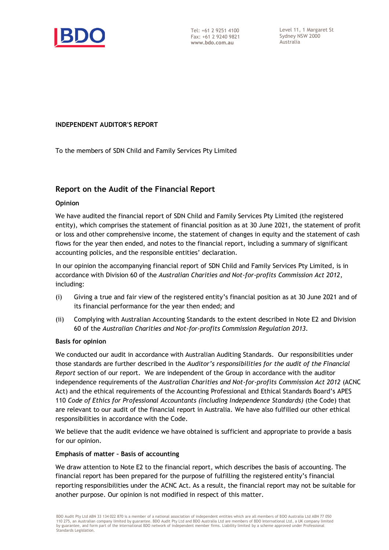

Level 11, 1 Margaret St Sydney NSW 2000 Australia

#### **INDEPENDENT AUDITOR'S REPORT**

To the members of SDN Child and Family Services Pty Limited

### **Report on the Audit of the Financial Report**

#### **Opinion**

We have audited the financial report of SDN Child and Family Services Pty Limited (the registered entity), which comprises the statement of financial position as at 30 June 2021, the statement of profit or loss and other comprehensive income, the statement of changes in equity and the statement of cash flows for the year then ended, and notes to the financial report, including a summary of significant accounting policies, and the responsible entities' declaration.

In our opinion the accompanying financial report of SDN Child and Family Services Pty Limited, is in accordance with Division 60 of the *Australian Charities and Not-for-profits Commission Act 2012*, including:

- (i) Giving a true and fair view of the registered entity's financial position as at 30 June 2021 and of its financial performance for the year then ended; and
- (ii) Complying with Australian Accounting Standards to the extent described in Note E2 and Division 60 of the *Australian Charities and Not-for-profits Commission Regulation 2013*.

#### **Basis for opinion**

We conducted our audit in accordance with Australian Auditing Standards. Our responsibilities under those standards are further described in the *Auditor's responsibilities for the audit of the Financial Report* section of our report. We are independent of the Group in accordance with the auditor independence requirements of the *Australian Charities and Not-for-profits Commission Act 2012* (ACNC Act) and the ethical requirements of the Accounting Professional and Ethical Standards Board's APES 110 *Code of Ethics for Professional Accountants (including Independence Standards)* (the Code) that are relevant to our audit of the financial report in Australia. We have also fulfilled our other ethical responsibilities in accordance with the Code.

We believe that the audit evidence we have obtained is sufficient and appropriate to provide a basis for our opinion.

#### **Emphasis of matter – Basis of accounting**

We draw attention to Note E2 to the financial report, which describes the basis of accounting. The financial report has been prepared for the purpose of fulfilling the registered entity's financial reporting responsibilities under the ACNC Act. As a result, the financial report may not be suitable for another purpose. Our opinion is not modified in respect of this matter.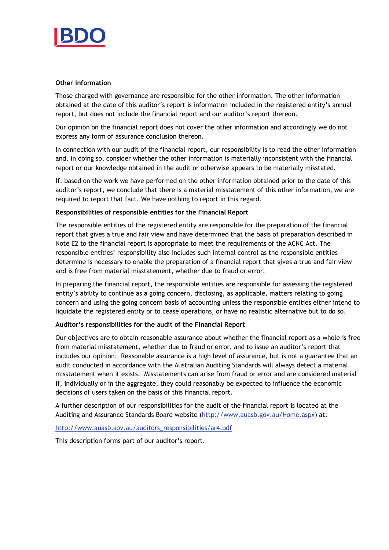

#### **Other information**

Those charged with governance are responsible for the other information. The other information obtained at the date of this auditor's report is information included in the registered entity's annual report, but does not include the financial report and our auditor's report thereon.

Our opinion on the financial report does not cover the other information and accordingly we do not express any form of assurance conclusion thereon.

In connection with our audit of the financial report, our responsibility is to read the other information and, in doing so, consider whether the other information is materially inconsistent with the financial report or our knowledge obtained in the audit or otherwise appears to be materially misstated.

If, based on the work we have performed on the other information obtained prior to the date of this auditor's report, we conclude that there is a material misstatement of this other information, we are required to report that fact. We have nothing to report in this regard.

#### **Responsibilities of responsible entities for the Financial Report**

The responsible entities of the registered entity are responsible for the preparation of the financial report that gives a true and fair view and have determined that the basis of preparation described in Note E2 to the financial report is appropriate to meet the requirements of the ACNC Act. The responsible entities' responsibility also includes such internal control as the responsible entities determine is necessary to enable the preparation of a financial report that gives a true and fair view and is free from material misstatement, whether due to fraud or error.

In preparing the financial report, the responsible entities are responsible for assessing the registered entity's ability to continue as a going concern, disclosing, as applicable, matters relating to going concern and using the going concern basis of accounting unless the responsible entities either intend to liquidate the registered entity or to cease operations, or have no realistic alternative but to do so.

#### **Auditor's responsibilities for the audit of the Financial Report**

Our objectives are to obtain reasonable assurance about whether the financial report as a whole is free from material misstatement, whether due to fraud or error, and to issue an auditor's report that includes our opinion. Reasonable assurance is a high level of assurance, but is not a guarantee that an audit conducted in accordance with the Australian Auditing Standards will always detect a material misstatement when it exists. Misstatements can arise from fraud or error and are considered material if, individually or in the aggregate, they could reasonably be expected to influence the economic decisions of users taken on the basis of this financial report.

A further description of our responsibilities for the audit of the financial report is located at the Auditing and Assurance Standards Board website [\(http://www.auasb.gov.au/Home.aspx\)](http://www.auasb.gov.au/Home.aspx) at:

#### [http://www.auasb.gov.au/auditors\\_responsibilities/ar4.pdf](http://www.auasb.gov.au/auditors_responsibilities/ar4.pdf)

This description forms part of our auditor's report.